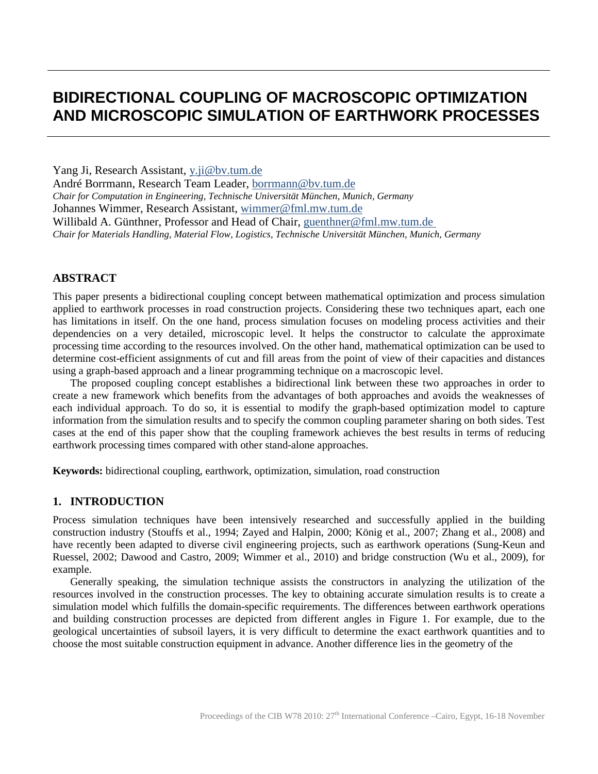# **BIDIRECTIONAL COUPLING OF MACROSCOPIC OPTIMIZATION AND MICROSCOPIC SIMULATION OF EARTHWORK PROCESSES**

Yang Ji, Research Assistant, y.ji@bv.tum.de

André Borrmann, Research Team Leader, [borrmann@bv.tum.de](mailto:borrmann@bv.tum.de) *Chair for Computation in Engineering, Technische Universität München, Munich, Germany* Johannes Wimmer, Research Assistant, wimmer@fml.mw.tum.de Willibald A. Günthner, Professor and Head of Chair, [guenthner@fml.mw.tum.de](mailto:guenthner@fml.mw.tum.de) *Chair for Materials Handling, Material Flow, Logistics, Technische Universität München, Munich, Germany*

## **ABSTRACT**

This paper presents a bidirectional coupling concept between mathematical optimization and process simulation applied to earthwork processes in road construction projects. Considering these two techniques apart, each one has limitations in itself. On the one hand, process simulation focuses on modeling process activities and their dependencies on a very detailed, microscopic level. It helps the constructor to calculate the approximate processing time according to the resources involved. On the other hand, mathematical optimization can be used to determine cost-efficient assignments of cut and fill areas from the point of view of their capacities and distances using a graph-based approach and a linear programming technique on a macroscopic level.

The proposed coupling concept establishes a bidirectional link between these two approaches in order to create a new framework which benefits from the advantages of both approaches and avoids the weaknesses of each individual approach. To do so, it is essential to modify the graph-based optimization model to capture information from the simulation results and to specify the common coupling parameter sharing on both sides. Test cases at the end of this paper show that the coupling framework achieves the best results in terms of reducing earthwork processing times compared with other stand-alone approaches.

**Keywords:** bidirectional coupling, earthwork, optimization, simulation, road construction

## **1. INTRODUCTION**

Process simulation techniques have been intensively researched and successfully applied in the building construction industry (Stouffs et al., 1994; Zayed and Halpin, 2000; König et al., 2007; Zhang et al., 2008) and have recently been adapted to diverse civil engineering projects, such as earthwork operations (Sung-Keun and Ruessel, 2002; Dawood and Castro, 2009; Wimmer et al., 2010) and bridge construction (Wu et al., 2009), for example.

Generally speaking, the simulation technique assists the constructors in analyzing the utilization of the resources involved in the construction processes. The key to obtaining accurate simulation results is to create a simulation model which fulfills the domain-specific requirements. The differences between earthwork operations and building construction processes are depicted from different angles in Figure 1. For example, due to the geological uncertainties of subsoil layers, it is very difficult to determine the exact earthwork quantities and to choose the most suitable construction equipment in advance. Another difference lies in the geometry of the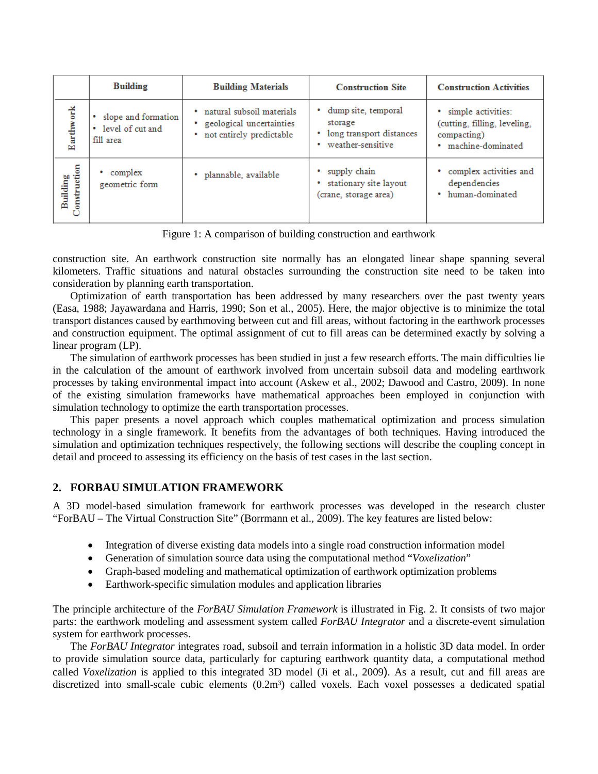|                                   | <b>Building</b>                                           | <b>Building Materials</b>                                                             | <b>Construction Site</b>                                                        | <b>Construction Activities</b>                                                           |
|-----------------------------------|-----------------------------------------------------------|---------------------------------------------------------------------------------------|---------------------------------------------------------------------------------|------------------------------------------------------------------------------------------|
| Earthwork                         | slope and formation<br>level of cut and<br>٠<br>fill area | · natural subsoil materials<br>geological uncertainties<br>• not entirely predictable | dump site, temporal<br>storage<br>long transport distances<br>weather-sensitive | simple activities:<br>(cutting, filling, leveling,<br>compacting)<br>· machine-dominated |
| Building<br>.onstruction<br>onstr | complex<br>geometric form                                 | · plannable, available                                                                | supply chain<br>stationary site layout<br>(crane, storage area)                 | complex activities and<br>dependencies<br>• human-dominated                              |

Figure 1: A comparison of building construction and earthwork

construction site. An earthwork construction site normally has an elongated linear shape spanning several kilometers. Traffic situations and natural obstacles surrounding the construction site need to be taken into consideration by planning earth transportation.

Optimization of earth transportation has been addressed by many researchers over the past twenty years (Easa, 1988; Jayawardana and Harris, 1990; Son et al., 2005). Here, the major objective is to minimize the total transport distances caused by earthmoving between cut and fill areas, without factoring in the earthwork processes and construction equipment. The optimal assignment of cut to fill areas can be determined exactly by solving a linear program (LP).

The simulation of earthwork processes has been studied in just a few research efforts. The main difficulties lie in the calculation of the amount of earthwork involved from uncertain subsoil data and modeling earthwork processes by taking environmental impact into account (Askew et al., 2002; Dawood and Castro, 2009). In none of the existing simulation frameworks have mathematical approaches been employed in conjunction with simulation technology to optimize the earth transportation processes.

This paper presents a novel approach which couples mathematical optimization and process simulation technology in a single framework. It benefits from the advantages of both techniques. Having introduced the simulation and optimization techniques respectively, the following sections will describe the coupling concept in detail and proceed to assessing its efficiency on the basis of test cases in the last section.

## **2. FORBAU SIMULATION FRAMEWORK**

A 3D model-based simulation framework for earthwork processes was developed in the research cluster "ForBAU – The Virtual Construction Site" (Borrmann et al., 2009). The key features are listed below:

- Integration of diverse existing data models into a single road construction information model
- Generation of simulation source data using the computational method "*Voxelization*"
- Graph-based modeling and mathematical optimization of earthwork optimization problems
- Earthwork-specific simulation modules and application libraries

The principle architecture of the *ForBAU Simulation Framework* is illustrated in Fig. 2. It consists of two major parts: the earthwork modeling and assessment system called *ForBAU Integrator* and a discrete-event simulation system for earthwork processes.

The *ForBAU Integrator* integrates road, subsoil and terrain information in a holistic 3D data model. In order to provide simulation source data, particularly for capturing earthwork quantity data, a computational method called *Voxelization* is applied to this integrated 3D model (Ji et al., 2009). As a result, cut and fill areas are discretized into small-scale cubic elements (0.2m<sup>3</sup>) called voxels. Each voxel possesses a dedicated spatial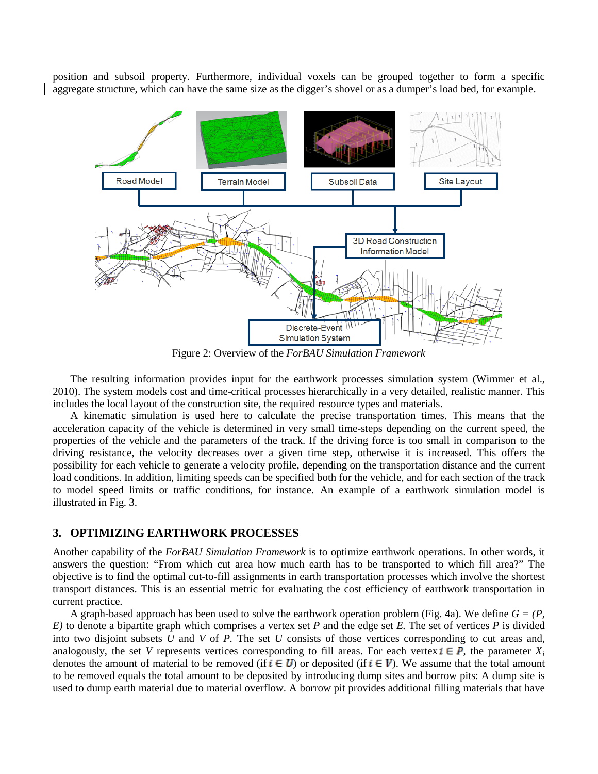position and subsoil property. Furthermore, individual voxels can be grouped together to form a specific aggregate structure, which can have the same size as the digger's shovel or as a dumper's load bed, for example.



Figure 2: Overview of the *ForBAU Simulation Framework*

The resulting information provides input for the earthwork processes simulation system (Wimmer et al., 2010). The system models cost and time-critical processes hierarchically in a very detailed, realistic manner. This includes the local layout of the construction site, the required resource types and materials.

A kinematic simulation is used here to calculate the precise transportation times. This means that the acceleration capacity of the vehicle is determined in very small time-steps depending on the current speed, the properties of the vehicle and the parameters of the track. If the driving force is too small in comparison to the driving resistance, the velocity decreases over a given time step, otherwise it is increased. This offers the possibility for each vehicle to generate a velocity profile, depending on the transportation distance and the current load conditions. In addition, limiting speeds can be specified both for the vehicle, and for each section of the track to model speed limits or traffic conditions, for instance. An example of a earthwork simulation model is illustrated in Fig. 3.

#### **3. OPTIMIZING EARTHWORK PROCESSES**

Another capability of the *ForBAU Simulation Framework* is to optimize earthwork operations. In other words, it answers the question: "From which cut area how much earth has to be transported to which fill area?" The objective is to find the optimal cut-to-fill assignments in earth transportation processes which involve the shortest transport distances. This is an essential metric for evaluating the cost efficiency of earthwork transportation in current practice.

A graph-based approach has been used to solve the earthwork operation problem (Fig. 4a). We define  $G = (P, \mathcal{E})$ *E)* to denote a bipartite graph which comprises a vertex set *P* and the edge set *E.* The set of vertices *P* is divided into two disjoint subsets *U* and *V* of *P.* The set *U* consists of those vertices corresponding to cut areas and, analogously, the set *V* represents vertices corresponding to fill areas. For each vertex  $\mathbf{i} \in \mathbf{P}$ , the parameter  $X_i$ denotes the amount of material to be removed (if  $i \in U$ ) or deposited (if  $i \in V$ ). We assume that the total amount to be removed equals the total amount to be deposited by introducing dump sites and borrow pits: A dump site is used to dump earth material due to material overflow. A borrow pit provides additional filling materials that have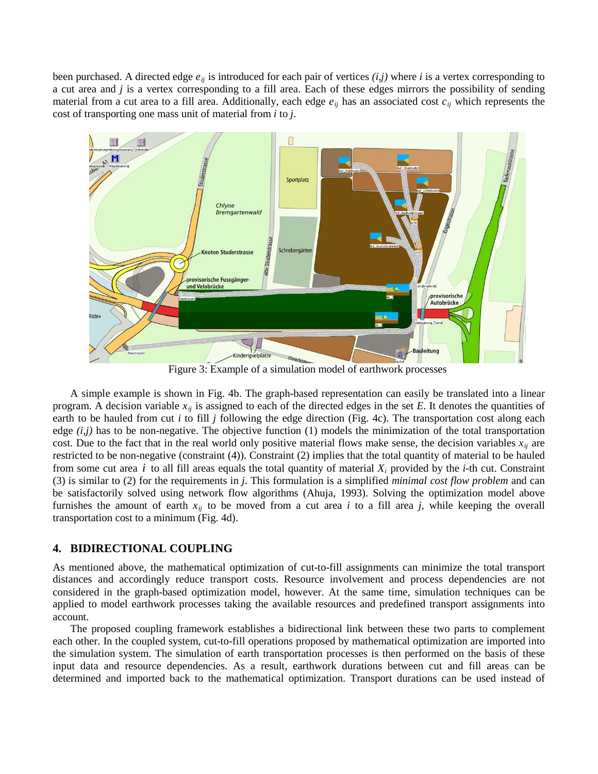been purchased. A directed edge *eij* is introduced for each pair of vertices *(i,j)* where *i* is a vertex corresponding to a cut area and *j* is a vertex corresponding to a fill area. Each of these edges mirrors the possibility of sending material from a cut area to a fill area. Additionally, each edge *eij* has an associated cost *cij* which represents the cost of transporting one mass unit of material from *i* to *j*.



Figure 3: Example of a simulation model of earthwork processes

A simple example is shown in Fig. 4b. The graph-based representation can easily be translated into a linear program. A decision variable  $x_{ij}$  is assigned to each of the directed edges in the set  $E$ . It denotes the quantities of earth to be hauled from cut *i* to fill *j* following the edge direction (Fig. 4c). The transportation cost along each edge *(i,j)* has to be non-negative. The objective function (1) models the minimization of the total transportation cost. Due to the fact that in the real world only positive material flows make sense, the decision variables  $x_{ij}$  are from some cut area  $i$  to all fill areas equals the total quantity of material  $X_i$  provided by the  $i$ -th cut. Constraint restricted to be non-negative (constraint (4)). Constraint (2) implies that the total quantity of material to be hauled (3) is similar to (2) for the requirements in *j*. This formulation is a simplified *minimal cost flow problem* and can be satisfactorily solved using network flow algorithms (Ahuja, 1993). Solving the optimization model above furnishes the amount of earth  $x_{ij}$  to be moved from a cut area *i* to a fill area *j*, while keeping the overall transportation cost to a minimum (Fig. 4d).

#### **4. BIDIRECTIONAL COUPLING**

As mentioned above, the mathematical optimization of cut-to-fill assignments can minimize the total transport distances and accordingly reduce transport costs. Resource involvement and process dependencies are not considered in the graph-based optimization model, however. At the same time, simulation techniques can be applied to model earthwork processes taking the available resources and predefined transport assignments into account.

The proposed coupling framework establishes a bidirectional link between these two parts to complement each other. In the coupled system, cut-to-fill operations proposed by mathematical optimization are imported into the simulation system. The simulation of earth transportation processes is then performed on the basis of these input data and resource dependencies. As a result, earthwork durations between cut and fill areas can be determined and imported back to the mathematical optimization. Transport durations can be used instead of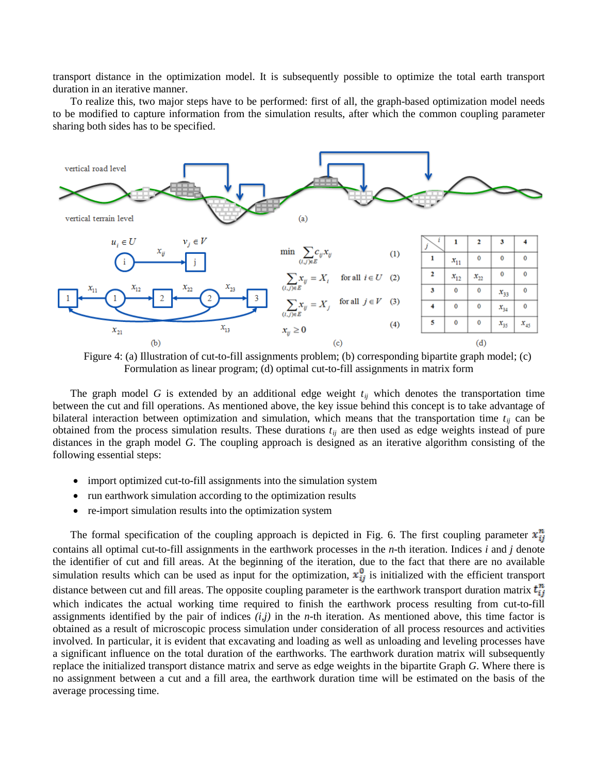transport distance in the optimization model. It is subsequently possible to optimize the total earth transport duration in an iterative manner.

To realize this, two major steps have to be performed: first of all, the graph-based optimization model needs to be modified to capture information from the simulation results, after which the common coupling parameter sharing both sides has to be specified.



Figure 4: (a) Illustration of cut-to-fill assignments problem; (b) corresponding bipartite graph model; (c) Formulation as linear program; (d) optimal cut-to-fill assignments in matrix form

The graph model *G* is extended by an additional edge weight  $t_{ij}$  which denotes the transportation time between the cut and fill operations. As mentioned above, the key issue behind this concept is to take advantage of bilateral interaction between optimization and simulation, which means that the transportation time  $t_{ij}$  can be obtained from the process simulation results. These durations  $t_{ij}$  are then used as edge weights instead of pure distances in the graph model *G*. The coupling approach is designed as an iterative algorithm consisting of the following essential steps:

- import optimized cut-to-fill assignments into the simulation system
- run earthwork simulation according to the optimization results
- re-import simulation results into the optimization system

The formal specification of the coupling approach is depicted in Fig. 6. The first coupling parameter  $x_{ij}^n$ contains all optimal cut-to-fill assignments in the earthwork processes in the *n*-th iteration. Indices *i* and *j* denote the identifier of cut and fill areas. At the beginning of the iteration, due to the fact that there are no available simulation results which can be used as input for the optimization,  $\mathbf{x}_{ii}^0$  is initialized with the efficient transport distance between cut and fill areas. The opposite coupling parameter is the earthwork transport duration matrix  $t_{ij}^n$ which indicates the actual working time required to finish the earthwork process resulting from cut-to-fill assignments identified by the pair of indices *(i,j)* in the *n-*th iteration. As mentioned above, this time factor is obtained as a result of microscopic process simulation under consideration of all process resources and activities involved. In particular, it is evident that excavating and loading as well as unloading and leveling processes have a significant influence on the total duration of the earthworks. The earthwork duration matrix will subsequently replace the initialized transport distance matrix and serve as edge weights in the bipartite Graph *G*. Where there is no assignment between a cut and a fill area, the earthwork duration time will be estimated on the basis of the average processing time.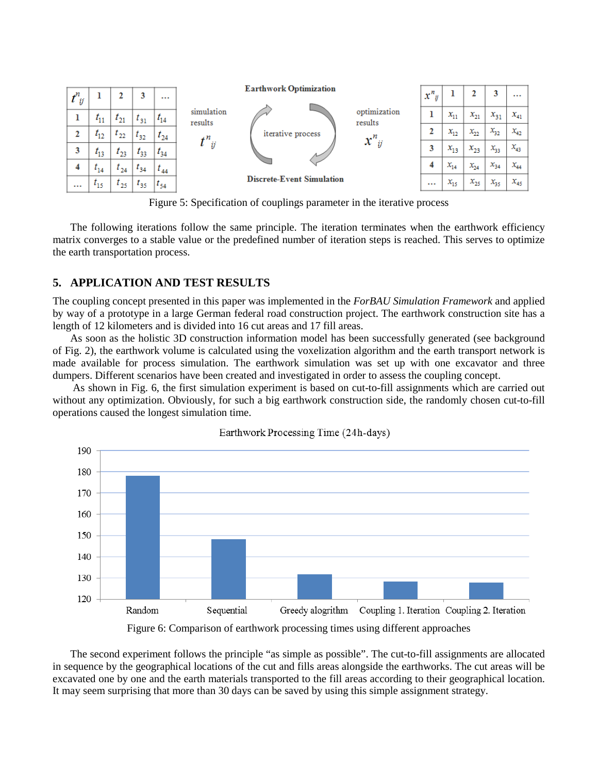

Figure 5: Specification of couplings parameter in the iterative process

The following iterations follow the same principle. The iteration terminates when the earthwork efficiency matrix converges to a stable value or the predefined number of iteration steps is reached. This serves to optimize the earth transportation process.

## **5. APPLICATION AND TEST RESULTS**

The coupling concept presented in this paper was implemented in the *ForBAU Simulation Framework* and applied by way of a prototype in a large German federal road construction project. The earthwork construction site has a length of 12 kilometers and is divided into 16 cut areas and 17 fill areas.

As soon as the holistic 3D construction information model has been successfully generated (see background of Fig. 2), the earthwork volume is calculated using the voxelization algorithm and the earth transport network is made available for process simulation. The earthwork simulation was set up with one excavator and three dumpers. Different scenarios have been created and investigated in order to assess the coupling concept.

As shown in Fig. 6, the first simulation experiment is based on cut-to-fill assignments which are carried out without any optimization. Obviously, for such a big earthwork construction side, the randomly chosen cut-to-fill operations caused the longest simulation time.



The second experiment follows the principle "as simple as possible". The cut-to-fill assignments are allocated in sequence by the geographical locations of the cut and fills areas alongside the earthworks. The cut areas will be excavated one by one and the earth materials transported to the fill areas according to their geographical location. It may seem surprising that more than 30 days can be saved by using this simple assignment strategy.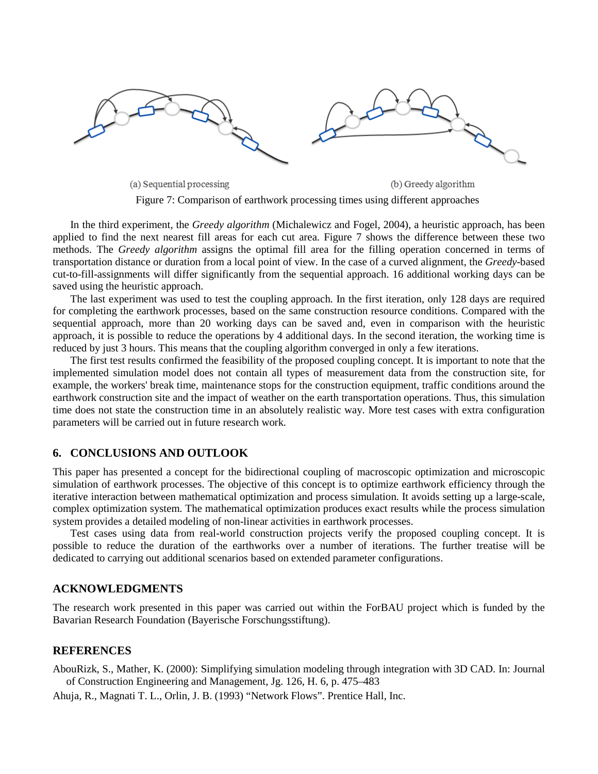

Figure 7: Comparison of earthwork processing times using different approaches

In the third experiment, the *Greedy algorithm* (Michalewicz and Fogel, 2004 ), a heuristic approach, has been applied to find the next nearest fill areas for each cut area. Figure 7 shows the difference between these two methods. The *Greedy algorithm* assigns the optimal fill area for the filling operation concerned in terms of transportation distance or duration from a local point of view. In the case of a curved alignment, the *Greedy*-based cut-to-fill-assignments will differ significantly from the sequential approach. 16 additional working days can be saved using the heuristic approach.

The last experiment was used to test the coupling approach. In the first iteration, only 128 days are required for completing the earthwork processes, based on the same construction resource conditions. Compared with the sequential approach, more than 20 working days can be saved and, even in comparison with the heuristic approach, it is possible to reduce the operations by 4 additional days. In the second iteration, the working time is reduced by just 3 hours. This means that the coupling algorithm converged in only a few iterations.

The first test results confirmed the feasibility of the proposed coupling concept. It is important to note that the implemented simulation model does not contain all types of measurement data from the construction site, for example, the workers' break time, maintenance stops for the construction equipment, traffic conditions around the earthwork construction site and the impact of weather on the earth transportation operations. Thus, this simulation time does not state the construction time in an absolutely realistic way. More test cases with extra configuration parameters will be carried out in future research work.

#### **6. CONCLUSIONS AND OUTLOOK**

This paper has presented a concept for the bidirectional coupling of macroscopic optimization and microscopic simulation of earthwork processes. The objective of this concept is to optimize earthwork efficiency through the iterative interaction between mathematical optimization and process simulation. It avoids setting up a large-scale, complex optimization system. The mathematical optimization produces exact results while the process simulation system provides a detailed modeling of non-linear activities in earthwork processes.

Test cases using data from real-world construction projects verify the proposed coupling concept. It is possible to reduce the duration of the earthworks over a number of iterations. The further treatise will be dedicated to carrying out additional scenarios based on extended parameter configurations.

#### **ACKNOWLEDGMENTS**

The research work presented in this paper was carried out within the ForBAU project which is funded by the Bavarian Research Foundation (Bayerische Forschungsstiftung).

#### **REFERENCES**

AbouRizk, S., Mather, K. (2000): Simplifying simulation modeling through integration with 3D CAD. In: Journal of Construction Engineering and Management, Jg. 126, H. 6, p. 475–483

Ahuja, R., Magnati T. L., Orlin, J. B. (1993) "Network Flows". Prentice Hall, Inc.